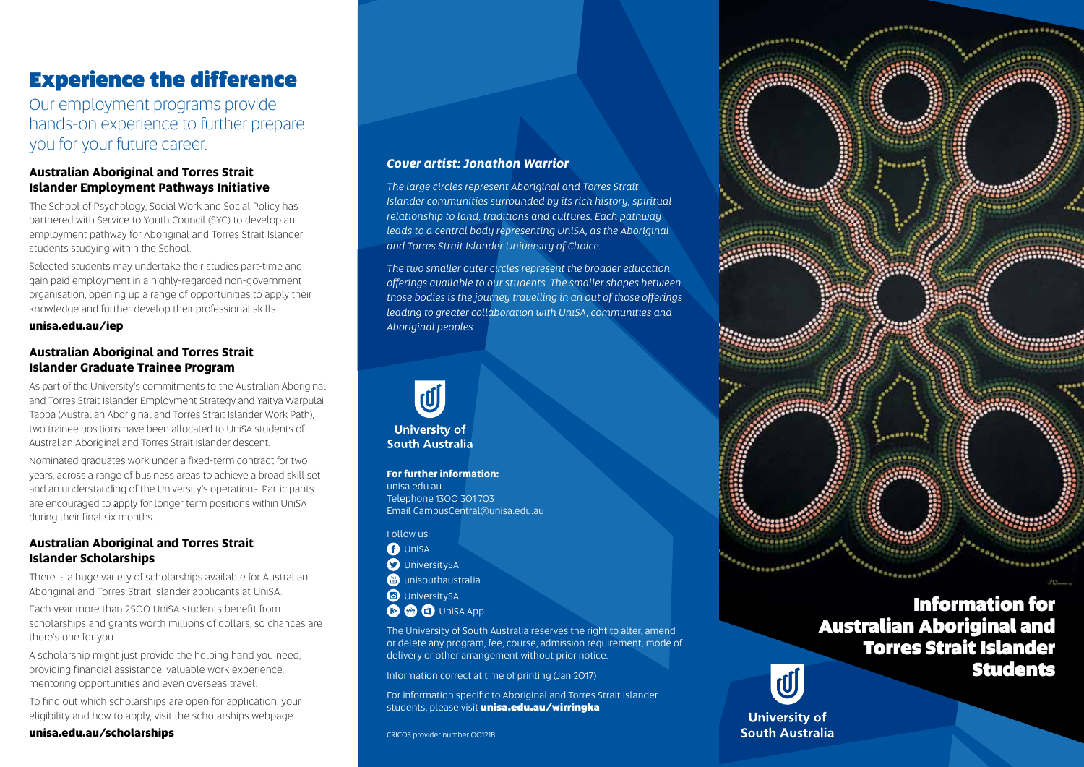# Experience the difference

Our employment programs provide hands-on experience to further prepare you for your future career.

### **Australian Aboriginal and Torres Strait Islander Employment Pathways Initiative**

The School of Psychology, Social Work and Social Policy has partnered with Service to Youth Council (SYC) to develop an employment pathway for Aboriginal and Torres Strait Islander students studying within the School.

Selected students may undertake their studies part-time and gain paid employment in a highly-regarded non-government organisation, opening up a range of opportunities to apply their knowledge and further develop their professional skills.

#### **unisa.edu.au/iep**

#### **Australian Aboriginal and Torres Strait Islander Graduate Trainee Program**

As part of the University's commitments to the Australian Aboriginal and Torres Strait Islander Employment Strategy and Yaitya Warpulai Tappa (Australian Aboriginal and Torres Strait Islander Work Path), two trainee positions have been allocated to UniSA students of Australian Aboriginal and Torres Strait Islander descent.

Nominated graduates work under a fixed-term contract for two years, across a range of business areas to achieve a broad skill set and an understanding of the University's operations. Participants are encouraged to apply for longer term positions within UniSA during their final six months.

#### **Australian Aboriginal and Torres Strait Islander Scholarships**

There is a huge variety of scholarships available for Australian Aboriginal and Torres Strait Islander applicants at UniSA.

Each year more than 2500 UniSA students benefit from scholarships and grants worth millions of dollars, so chances are there's one for you.

A scholarship might just provide the helping hand you need, providing financial assistance, valuable work experience, mentoring opportunities and even overseas travel.

To find out which scholarships are open for application, your eligibility and how to apply, visit the scholarships webpage.

#### **unisa.edu.au/scholarships**

#### *Cover artist: Jonathon Warrior*

*The large circles represent Aboriginal and Torres Strait Islander communities surrounded by its rich history, spiritual relationship to land, traditions and cultures. Each pathway leads to a central body representing UniSA, as the Aboriginal and Torres Strait Islander University of Choice.*

*The two smaller outer circles represent the broader education offerings available to our students. The smaller shapes between those bodies is the journey travelling in an out of those offerings leading to greater collaboration with UniSA, communities and Aboriginal peoples.* 



**South Australia** 

**For further information:** unisa.edu.au Telephone 1300 301 703 Email CampusCentral@unisa.edu.au

Follow us: **O** UniSA *<u>O* UniversitySA</u> **<sup><sup>8</sup>**</sup> unisouthaustralia</sub> *C* UniversitySA **• a d** UniSA App

The University of South Australia reserves the right to alter, amend or delete any program, fee, course, admission requirement, mode of delivery or other arrangement without prior notice.

Information correct at time of printing (Jan 2017)

For information specific to Aboriginal and Torres Strait Islander students, please visit unisa.edu.au/wirringka

## Information for Australian Aboriginal and Torres Strait Islander **Students**



**University of South Australia**